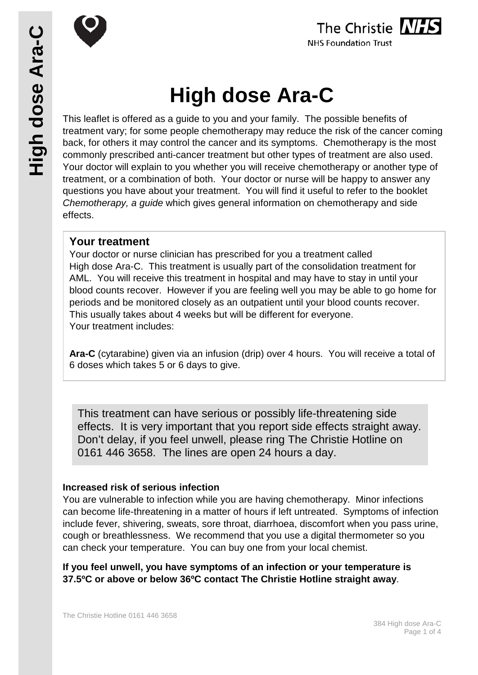



# **High dose Ara-C**

This leaflet is offered as a guide to you and your family. The possible benefits of treatment vary; for some people chemotherapy may reduce the risk of the cancer coming back, for others it may control the cancer and its symptoms. Chemotherapy is the most commonly prescribed anti-cancer treatment but other types of treatment are also used. Your doctor will explain to you whether you will receive chemotherapy or another type of treatment, or a combination of both. Your doctor or nurse will be happy to answer any questions you have about your treatment. You will find it useful to refer to the booklet *Chemotherapy, a guide* which gives general information on chemotherapy and side effects.

# **Your treatment**

Your doctor or nurse clinician has prescribed for you a treatment called High dose Ara-C. This treatment is usually part of the consolidation treatment for AML. You will receive this treatment in hospital and may have to stay in until your blood counts recover. However if you are feeling well you may be able to go home for periods and be monitored closely as an outpatient until your blood counts recover. This usually takes about 4 weeks but will be different for everyone. Your treatment includes:

**Ara-C** (cytarabine) given via an infusion (drip) over 4 hours. You will receive a total of 6 doses which takes 5 or 6 days to give.

This treatment can have serious or possibly life-threatening side effects. It is very important that you report side effects straight away. Don't delay, if you feel unwell, please ring The Christie Hotline on 0161 446 3658. The lines are open 24 hours a day.

# **Increased risk of serious infection**

You are vulnerable to infection while you are having chemotherapy. Minor infections can become life-threatening in a matter of hours if left untreated. Symptoms of infection include fever, shivering, sweats, sore throat, diarrhoea, discomfort when you pass urine, cough or breathlessness. We recommend that you use a digital thermometer so you can check your temperature. You can buy one from your local chemist.

**If you feel unwell, you have symptoms of an infection or your temperature is 37.5ºC or above or below 36ºC contact The Christie Hotline straight away**.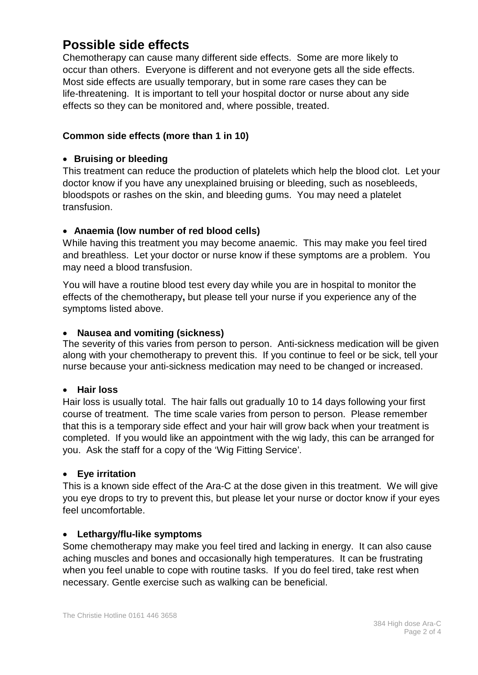# **Possible side effects**

Chemotherapy can cause many different side effects. Some are more likely to occur than others. Everyone is different and not everyone gets all the side effects. Most side effects are usually temporary, but in some rare cases they can be life-threatening. It is important to tell your hospital doctor or nurse about any side effects so they can be monitored and, where possible, treated.

## **Common side effects (more than 1 in 10)**

## • **Bruising or bleeding**

This treatment can reduce the production of platelets which help the blood clot. Let your doctor know if you have any unexplained bruising or bleeding, such as nosebleeds, bloodspots or rashes on the skin, and bleeding gums. You may need a platelet transfusion.

## • **Anaemia (low number of red blood cells)**

While having this treatment you may become anaemic. This may make you feel tired and breathless. Let your doctor or nurse know if these symptoms are a problem. You may need a blood transfusion.

You will have a routine blood test every day while you are in hospital to monitor the effects of the chemotherapy**,** but please tell your nurse if you experience any of the symptoms listed above.

#### • **Nausea and vomiting (sickness)**

The severity of this varies from person to person. Anti-sickness medication will be given along with your chemotherapy to prevent this. If you continue to feel or be sick, tell your nurse because your anti-sickness medication may need to be changed or increased.

#### • **Hair loss**

Hair loss is usually total. The hair falls out gradually 10 to 14 days following your first course of treatment. The time scale varies from person to person. Please remember that this is a temporary side effect and your hair will grow back when your treatment is completed. If you would like an appointment with the wig lady, this can be arranged for you. Ask the staff for a copy of the 'Wig Fitting Service'*.*

#### • **Eye irritation**

This is a known side effect of the Ara-C at the dose given in this treatment. We will give you eye drops to try to prevent this, but please let your nurse or doctor know if your eyes feel uncomfortable.

#### • **Lethargy/flu-like symptoms**

Some chemotherapy may make you feel tired and lacking in energy. It can also cause aching muscles and bones and occasionally high temperatures. It can be frustrating when you feel unable to cope with routine tasks. If you do feel tired, take rest when necessary. Gentle exercise such as walking can be beneficial.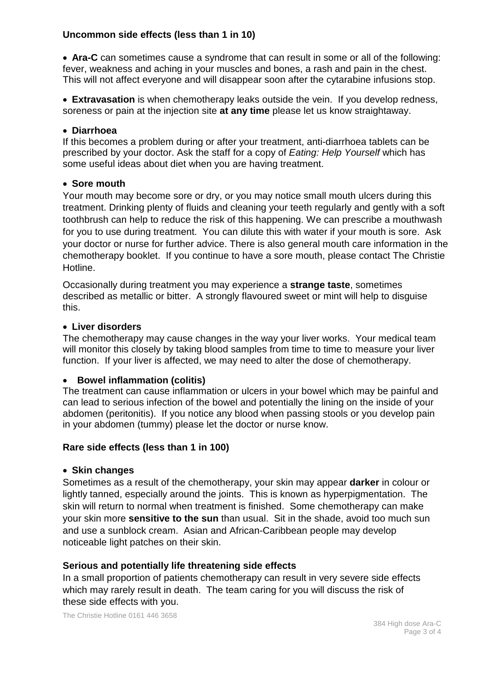## **Uncommon side effects (less than 1 in 10)**

• **Ara-C** can sometimes cause a syndrome that can result in some or all of the following: fever, weakness and aching in your muscles and bones, a rash and pain in the chest. This will not affect everyone and will disappear soon after the cytarabine infusions stop.

• **Extravasation** is when chemotherapy leaks outside the vein. If you develop redness, soreness or pain at the injection site **at any time** please let us know straightaway.

#### • **Diarrhoea**

If this becomes a problem during or after your treatment, anti-diarrhoea tablets can be prescribed by your doctor. Ask the staff for a copy of *Eating: Help Yourself* which has some useful ideas about diet when you are having treatment.

#### • **Sore mouth**

Your mouth may become sore or dry, or you may notice small mouth ulcers during this treatment. Drinking plenty of fluids and cleaning your teeth regularly and gently with a soft toothbrush can help to reduce the risk of this happening. We can prescribe a mouthwash for you to use during treatment. You can dilute this with water if your mouth is sore. Ask your doctor or nurse for further advice. There is also general mouth care information in the chemotherapy booklet. If you continue to have a sore mouth, please contact The Christie Hotline.

Occasionally during treatment you may experience a **strange taste**, sometimes described as metallic or bitter. A strongly flavoured sweet or mint will help to disguise this.

#### • **Liver disorders**

The chemotherapy may cause changes in the way your liver works. Your medical team will monitor this closely by taking blood samples from time to time to measure your liver function. If your liver is affected, we may need to alter the dose of chemotherapy.

#### • **Bowel inflammation (colitis)**

The treatment can cause inflammation or ulcers in your bowel which may be painful and can lead to serious infection of the bowel and potentially the lining on the inside of your abdomen (peritonitis). If you notice any blood when passing stools or you develop pain in your abdomen (tummy) please let the doctor or nurse know.

#### **Rare side effects (less than 1 in 100)**

#### • **Skin changes**

Sometimes as a result of the chemotherapy, your skin may appear **darker** in colour or lightly tanned, especially around the joints. This is known as hyperpigmentation. The skin will return to normal when treatment is finished. Some chemotherapy can make your skin more **sensitive to the sun** than usual. Sit in the shade, avoid too much sun and use a sunblock cream. Asian and African-Caribbean people may develop noticeable light patches on their skin.

#### **Serious and potentially life threatening side effects**

In a small proportion of patients chemotherapy can result in very severe side effects which may rarely result in death. The team caring for you will discuss the risk of these side effects with you.